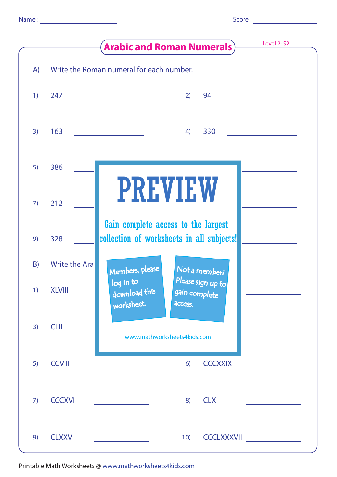|  | i |  |
|--|---|--|

|    |                      | Level 2: S2<br><b>Arabic and Roman Numerals</b> )                                         |
|----|----------------------|-------------------------------------------------------------------------------------------|
| A) |                      | Write the Roman numeral for each number.                                                  |
| 1) | 247                  | 94<br>2)                                                                                  |
| 3) | 163                  | 330<br>4)                                                                                 |
| 5) | 386                  |                                                                                           |
| 7) | 212                  | <b>PREVIEW</b>                                                                            |
| 9) | 328                  | Gain complete access to the largest<br>collection of worksheets in all subjects!          |
| B) | <b>Write the Ara</b> | Members, please<br>Not a member?                                                          |
| 1) | <b>XLVIII</b>        | Please sign up to<br>log in to<br>download this<br>gain complete<br>worksheet.<br>access. |
| 3) | <b>CLII</b>          | www.mathworksheets4kids.com                                                               |
| 5) | <b>CCVIII</b>        | <b>CCCXXIX</b><br>6)                                                                      |
| 7) | <b>CCCXVI</b>        | <b>CLX</b><br>8)                                                                          |
| 9) | <b>CLXXV</b>         | <b>CCCLXXXVII</b><br>10)                                                                  |

Printable Math Worksheets @ www.mathworksheets4kids.com